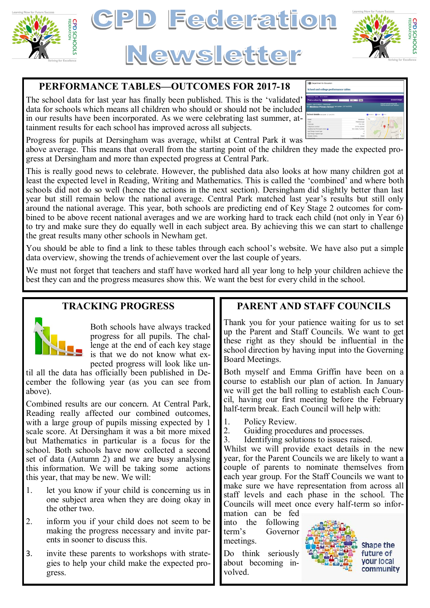





#### **PERFORMANCE TABLES—OUTCOMES FOR 2017-18**

The school data for last year has finally been published. This is the 'validated' data for schools which means all children who should or should not be included in our results have been incorporated. As we were celebrating last summer, attainment results for each school has improved across all subjects.

Progress for pupils at Dersingham was average, whilst at Central Park it was

above average. This means that overall from the starting point of the children they made the expected progress at Dersingham and more than expected progress at Central Park.

This is really good news to celebrate. However, the published data also looks at how many children got at least the expected level in Reading, Writing and Mathematics. This is called the 'combined' and where both schools did not do so well (hence the actions in the next section). Dersingham did slightly better than last year but still remain below the national average. Central Park matched last year's results but still only around the national average. This year, both schools are predicting end of Key Stage 2 outcomes for combined to be above recent national averages and we are working hard to track each child (not only in Year 6) to try and make sure they do equally well in each subject area. By achieving this we can start to challenge the great results many other schools in Newham get.

You should be able to find a link to these tables through each school's website. We have also put a simple data overview, showing the trends of achievement over the last couple of years.

We must not forget that teachers and staff have worked hard all year long to help your children achieve the best they can and the progress measures show this. We want the best for every child in the school.

#### **TRACKING PROGRESS**



Both schools have always tracked progress for all pupils. The challenge at the end of each key stage is that we do not know what expected progress will look like un-

til all the data has officially been published in December the following year (as you can see from above).

Combined results are our concern. At Central Park, Reading really affected our combined outcomes, with a large group of pupils missing expected by 1 scale score. At Dersingham it was a bit more mixed but Mathematics in particular is a focus for the school. Both schools have now collected a second set of data (Autumn 2) and we are busy analysing this information. We will be taking some actions this year, that may be new. We will:

- 1. let you know if your child is concerning us in one subject area when they are doing okay in the other two.
- 2. inform you if your child does not seem to be making the progress necessary and invite parents in sooner to discuss this.
- 3. invite these parents to workshops with strategies to help your child make the expected progress.

#### **PARENT AND STAFF COUNCILS**

Thank you for your patience waiting for us to set up the Parent and Staff Councils. We want to get these right as they should be influential in the school direction by having input into the Governing Board Meetings.

Both myself and Emma Griffin have been on a course to establish our plan of action. In January we will get the ball rolling to establish each Council, having our first meeting before the February half-term break. Each Council will help with:

- 
- 1. Policy Review.<br>2. Guiding proced Guiding procedures and processes.
- 3. Identifying solutions to issues raised.

Whilst we will provide exact details in the new year, for the Parent Councils we are likely to want a couple of parents to nominate themselves from each year group. For the Staff Councils we want to make sure we have representation from across all staff levels and each phase in the school. The Councils will meet once every half-term so infor-

mation can be fed into the following term's Governor meetings.

Do think seriously about becoming involved.



Shape the future of **your local** community